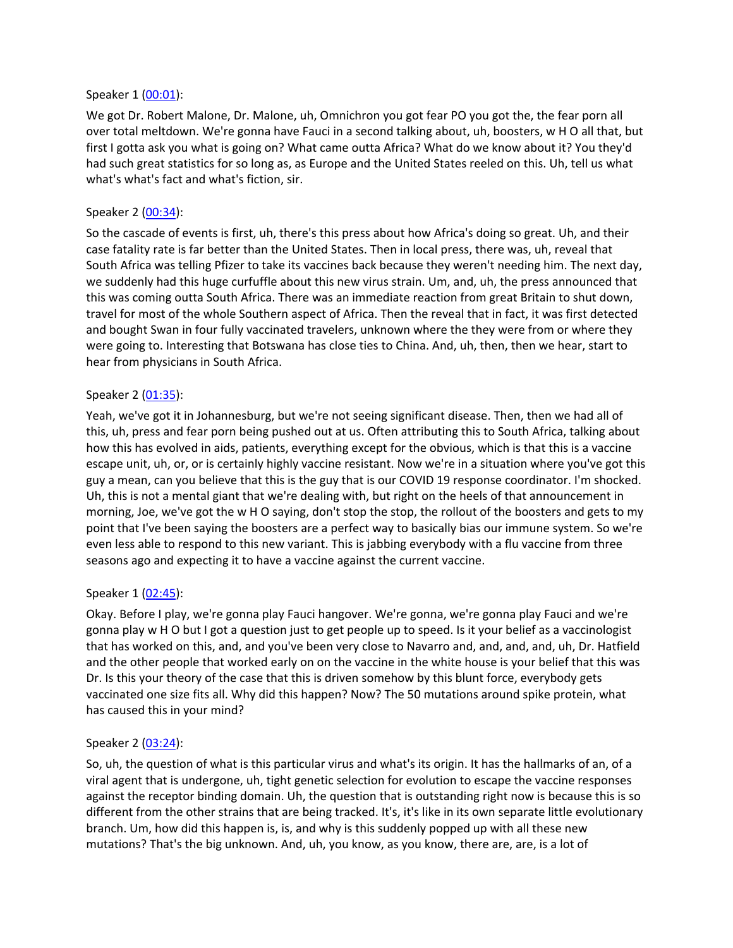### Speaker 1 ([00:01](https://www.temi.com/editor/t/P2bTYSPjCn-cC591mclCU_0dLEBJTUB3rH_5iN7zQjQb04uGMNsaPcetzQmKH4m5xr853XjVnrzsCwRIL2mlQxFVnhM?loadFrom=DocumentDeeplink&ts=1.88)):

We got Dr. Robert Malone, Dr. Malone, uh, Omnichron you got fear PO you got the, the fear porn all over total meltdown. We're gonna have Fauci in a second talking about, uh, boosters, w H O all that, but first I gotta ask you what is going on? What came outta Africa? What do we know about it? You they'd had such great statistics for so long as, as Europe and the United States reeled on this. Uh, tell us what what's what's fact and what's fiction, sir.

## Speaker 2 ([00:34](https://www.temi.com/editor/t/P2bTYSPjCn-cC591mclCU_0dLEBJTUB3rH_5iN7zQjQb04uGMNsaPcetzQmKH4m5xr853XjVnrzsCwRIL2mlQxFVnhM?loadFrom=DocumentDeeplink&ts=34.38)):

So the cascade of events is first, uh, there's this press about how Africa's doing so great. Uh, and their case fatality rate is far better than the United States. Then in local press, there was, uh, reveal that South Africa was telling Pfizer to take its vaccines back because they weren't needing him. The next day, we suddenly had this huge curfuffle about this new virus strain. Um, and, uh, the press announced that this was coming outta South Africa. There was an immediate reaction from great Britain to shut down, travel for most of the whole Southern aspect of Africa. Then the reveal that in fact, it was first detected and bought Swan in four fully vaccinated travelers, unknown where the they were from or where they were going to. Interesting that Botswana has close ties to China. And, uh, then, then we hear, start to hear from physicians in South Africa.

### Speaker 2 ([01:35](https://www.temi.com/editor/t/P2bTYSPjCn-cC591mclCU_0dLEBJTUB3rH_5iN7zQjQb04uGMNsaPcetzQmKH4m5xr853XjVnrzsCwRIL2mlQxFVnhM?loadFrom=DocumentDeeplink&ts=95.32)):

Yeah, we've got it in Johannesburg, but we're not seeing significant disease. Then, then we had all of this, uh, press and fear porn being pushed out at us. Often attributing this to South Africa, talking about how this has evolved in aids, patients, everything except for the obvious, which is that this is a vaccine escape unit, uh, or, or is certainly highly vaccine resistant. Now we're in a situation where you've got this guy a mean, can you believe that this is the guy that is our COVID 19 response coordinator. I'm shocked. Uh, this is not a mental giant that we're dealing with, but right on the heels of that announcement in morning, Joe, we've got the w H O saying, don't stop the stop, the rollout of the boosters and gets to my point that I've been saying the boosters are a perfect way to basically bias our immune system. So we're even less able to respond to this new variant. This is jabbing everybody with a flu vaccine from three seasons ago and expecting it to have a vaccine against the current vaccine.

#### Speaker 1 ([02:45](https://www.temi.com/editor/t/P2bTYSPjCn-cC591mclCU_0dLEBJTUB3rH_5iN7zQjQb04uGMNsaPcetzQmKH4m5xr853XjVnrzsCwRIL2mlQxFVnhM?loadFrom=DocumentDeeplink&ts=165.81)):

Okay. Before I play, we're gonna play Fauci hangover. We're gonna, we're gonna play Fauci and we're gonna play w H O but I got a question just to get people up to speed. Is it your belief as a vaccinologist that has worked on this, and, and you've been very close to Navarro and, and, and, and, uh, Dr. Hatfield and the other people that worked early on on the vaccine in the white house is your belief that this was Dr. Is this your theory of the case that this is driven somehow by this blunt force, everybody gets vaccinated one size fits all. Why did this happen? Now? The 50 mutations around spike protein, what has caused this in your mind?

#### Speaker 2 ([03:24](https://www.temi.com/editor/t/P2bTYSPjCn-cC591mclCU_0dLEBJTUB3rH_5iN7zQjQb04uGMNsaPcetzQmKH4m5xr853XjVnrzsCwRIL2mlQxFVnhM?loadFrom=DocumentDeeplink&ts=204.65)):

So, uh, the question of what is this particular virus and what's its origin. It has the hallmarks of an, of a viral agent that is undergone, uh, tight genetic selection for evolution to escape the vaccine responses against the receptor binding domain. Uh, the question that is outstanding right now is because this is so different from the other strains that are being tracked. It's, it's like in its own separate little evolutionary branch. Um, how did this happen is, is, and why is this suddenly popped up with all these new mutations? That's the big unknown. And, uh, you know, as you know, there are, are, is a lot of